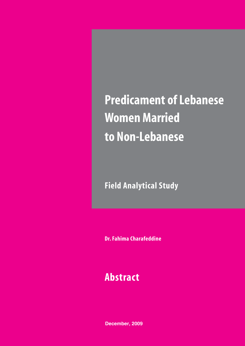# **Predicament of Lebanese Women Married to Non-Lebanese**

**Field Analytical Study**

**Dr. Fahima Charafeddine**

## **Abstract**

**December, 2009**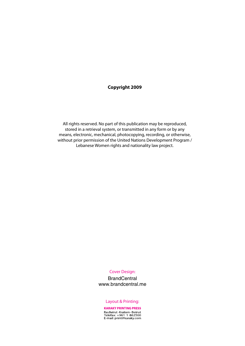#### **Copyright 2009**

All rights reserved. No part of this publication may be reproduced, stored in a retrieval system, or transmitted in any form or by any means, electronic, mechanical, photocopying, recording, or otherwise, without prior permission of the United Nations Development Program / Lebanese Women rights and nationality law project.

#### Cover Design:

**BrandCentral** www.brandcentral.me

#### Layout & Printing:

**KARAKY PRINTING PRESS** Ras Beirut - Kraitem - Beirut<br>Telefax: +961 1 862500<br>E-mail: print@karaky.com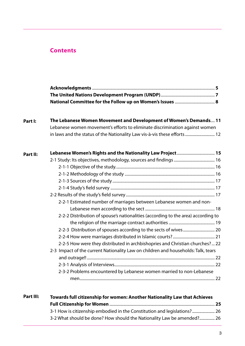## **Contents**

| The Lebanese Women Movement and Development of Women's Demands 11<br>Lebanese women movement's efforts to eliminate discrimination against women<br>in laws and the status of the Nationality Law vis-à-vis these efforts  12<br>2-2-1 Estimated number of marriages between Lebanese women and non-<br>2-2-2 Distribution of spouse's nationalities (according to the area) according to<br>2-2-5 How were they distributed in archbishopries and Christian churches? 22<br>2-3 Impact of the current Nationality Law on children and households: Talk, tears<br>2-3-2 Problems encountered by Lebanese women married to non-Lebanese |
|----------------------------------------------------------------------------------------------------------------------------------------------------------------------------------------------------------------------------------------------------------------------------------------------------------------------------------------------------------------------------------------------------------------------------------------------------------------------------------------------------------------------------------------------------------------------------------------------------------------------------------------|

| Part III: | Towards full citizenship for women: Another Nationality Law that Achieves |  |  |  |
|-----------|---------------------------------------------------------------------------|--|--|--|
|           |                                                                           |  |  |  |
|           | 3-1 How is citizenship embodied in the Constitution and legislations? 26  |  |  |  |
|           | 3-2 What should be done? How should the Nationality Law be amended? 26    |  |  |  |
|           |                                                                           |  |  |  |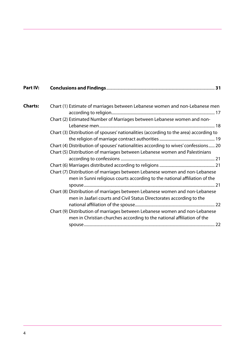| Part IV:       |                                                                                                                                                           |
|----------------|-----------------------------------------------------------------------------------------------------------------------------------------------------------|
| <b>Charts:</b> | Chart (1) Estimate of marriages between Lebanese women and non-Lebanese men                                                                               |
|                | Chart (2) Estimated Number of Marriages between Lebanese women and non-                                                                                   |
|                | Chart (3) Distribution of spouses' nationalities (according to the area) according to                                                                     |
|                | Chart (4) Distribution of spouses' nationalities according to wives' confessions 20                                                                       |
|                | Chart (5) Distribution of marriages between Lebanese women and Palestinians                                                                               |
|                |                                                                                                                                                           |
|                | Chart (7) Distribution of marriages between Lebanese women and non-Lebanese<br>men in Sunni religious courts according to the national affiliation of the |
|                | Chart (8) Distribution of marriages between Lebanese women and non-Lebanese<br>men in Jaafari courts and Civil Status Directorates according to the       |
|                |                                                                                                                                                           |
|                | Chart (9) Distribution of marriages between Lebanese women and non-Lebanese<br>men in Christian churches according to the national affiliation of the     |
|                |                                                                                                                                                           |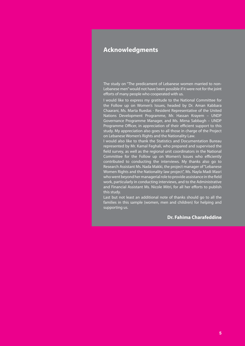## **Acknowledgments**

The study on "The predicament of Lebanese women married to non-Lebanese men" would not have been possible if it were not for the joint efforts of many people who cooperated with us.

I would like to express my gratitude to the National Committee for the Follow up on Women's Issues, headed by Dr. Aman Kabbara Chaarani, Ms. Marta Ruedas - Resident Representative of the United Nations Development Programme, Mr. Hassan Krayem – UNDP Governance Programme Manager, and Ms. Mirna Sabbagh – UNDP Programme Officer, in appreciation of their efficient support to this study. My appreciation also goes to all those in charge of the Project on Lebanese Women's Rights and the Nationality Law.

I would also like to thank the Statistics and Documentation Bureau represented by Mr. Kamal Feghali, who prepared and supervised the field survey, as well as the regional unit coordinators in the National Committee for the Follow up on Women's Issues who efficiently contributed to conducting the interviews. My thanks also go to Research Assistant Ms. Nada Makki, the project manager of "Lebanese Women Rights and the Nationality law project", Ms. Nayla Madi Masri who went beyond her managerial role to provide assistance in the field work, particularly in conducting interviews, and to the Administrative and Financial Assistant Ms. Nicole Mitri, for all her efforts to publish this study.

Last but not least an additional note of thanks should go to all the families in this sample (women, men and children) for helping and supporting us.

#### **Dr. Fahima Charafeddine**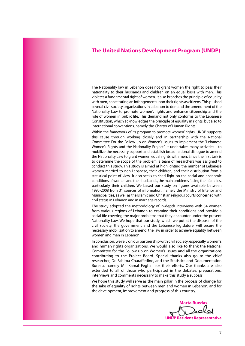#### **The United Nations Development Program (UNDP)**

The Nationality law in Lebanon does not grant women the right to pass their nationality to their husbands and children on an equal basis with men. This violates a fundamental right of women. It also breaches the principle of equality with men, constituting an infringement upon their rights as citizens. This pushed several civil society organizations in Lebanon to demand the amendment of the Nationality Law to promote women's rights and enhance citizenship and the role of women in public life. This demand not only conforms to the Lebanese Constitution, which acknowledges the principle of equality in rights, but also to international conventions, namely the Charter of Human Rights.

Within the framework of its program to promote women' rights, UNDP supports this cause through working closely and in partnership with the National Committee For the Follow up on Women's Issues to implement the "Lebanese Women's Rights and the Nationality Project". It undertakes many activities to mobilize the necessary support and establish broad national dialogue to amend the Nationality Law to grant women equal rights with men. Since the first task is to determine the scope of the problem, a team of researchers was assigned to conduct this study. This study is aimed at highlighting the number of Lebanese women married to non-Lebanese, their children, and their distribution from a statistical point of view. It also seeks to shed light on the social and economic conditions of women and their husbands, the main problems facing their families, particularly their children. We based our study on figures available between 1995-2008 from 31 sources of information, namely the Ministry of Interior and Municipalities, as well as the Islamic and Christian religious courts concerned with civil status in Lebanon and in marriage records.

The study adopted the methodology of in-depth interviews with 34 women from various regions of Lebanon to examine their conditions and provide a social file covering the major problems that they encounter under the present Nationality Law. We hope that our study, which we put at the disposal of the civil society, the government and the Lebanese legislature, will secure the necessary mobilization to amend the law in order to achieve equality between women and men in Lebanon.

In conclusion, we rely on our partnership with civil society, especially women's and human rights organizations. We would also like to thank the National Committee for the Follow up on Women's Issues and all the organizations contributing to the Project Board. Special thanks also go to the chief researcher, Dr. Fahima Charaffedine, and the Statistics and Documentation Bureau, namely Mr. Kamal Feghali for their efforts. Our thanks are also extended to all of those who participated in the debates, preparations, interviews and comments necessary to make this study a success.

We hope this study will serve as the main pillar in the process of change for the sake of equality of rights between men and women in Lebanon, and for the development, improvement and progress of this country.

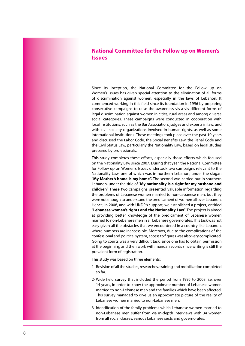## **National Committee for the Follow up on Women's Issues**

Since its inception, the National Committee for the Follow up on Women's Issues has given special attention to the elimination of all forms of discrimination against women, especially in the laws of Lebanon. It commenced working in this field since its foundation in 1996 by preparing consecutive campaigns to raise the awareness vis-a-vis different forms of legal discrimination against women in cities, rural areas and among diverse social categories. These campaigns were conducted in cooperation with local institutions, such as the Bar Association, judges and experts in law, and with civil socieity organizations involved in human rights, as well as some international institutions. These meetings took place over the past 10 years and discussed the Labor Code, the Social Benefits Law, the Penal Code and the Civil Status Law, particularly the Nationality Law, based on legal studies prepared by professionals.

This study completes these efforts, especially those efforts which focused on the Nationality Law since 2007. During that year, the National Committee for Follow up on Women's Issues undertook two campaigns relevant to the Nationality Law, one of which was in northern Lebanon, under the slogan "**My Mother's home is my home".** The second was carried out in southern Lebanon, under the title of "**My nationality is a right for my husband and children**". These two campaigns presented valuable information regarding the problems of Lebanese women married to non-Lebanese men, but they were not enough to understand the predicament of women all over Lebanon. Hence, in 2008, and with UNDP's support, we established a project, entitled "**Lebanese women's rights and the Nationality Law**". The project is aimed at providing better knowledge of the predicament of Lebanese women married to non-Lebanese men in all Lebanese governorates. This task was not easy given all the obstacles that we encountered in a country like Lebanon, where numbers are inaccessible. Moreover, due to the complications of the confessional and political system, access to figures was also very complicated. Going to courts was a very difficult task, since one has to obtain permission at the beginning and then work with manual records since writing is still the prevalent form of registration.

This study was based on three elements:

- 1- Revision of all the studies, researches, training and mobilization completed so far.
- 2- Wide field survey that included the period from 1995 to 2008, i.e. over 14 years, in order to know the approximate number of Lebanese women married to non-Lebanese men and the families which have been affected. This survey managed to give us an approximate picture of the reality of Lebanese women married to non-Lebanese men.
- 3- Identification of the family problems which Lebanese women married to non-Lebanese men suffer from via in-depth interviews with 34 women from all social classes, various Lebanese sects and governorates.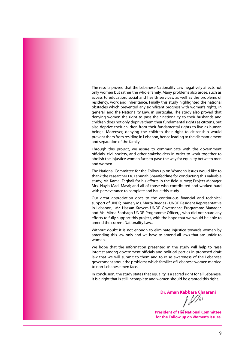The results proved that the Lebanese Nationality Law negatively affects not only women but rather the whole family. Many problems also arose, such as access to education, social and health services, as well as the problems of residency, work and inheritance. Finally this study highlighted the national obstacles which prevented any significant progress with women's rights, in general, and the Nationality Law, in particular. The study also proved that denying women the right to pass their nationality to their husbands and children does not only deprive them their fundamental rights as citizens, but also deprive their children from their fundamental rights to live as human beings. Moreover, denying the children their right to citizenship would prevent them from residing in Lebanon, hence leading to the dismantlement and separation of the family.

Through this project, we aspire to communicate with the government officials, civil society, and other stakeholders in order to work together to abolish the injustice women face, to pave the way for equality between men and women.

The National Committee for the Follow up on Women's Issues would like to thank the researcher Dr. Fahimah Sharafeddine for conducting this valuable study; Mr. Kamal Feghali for his efforts in the field survey; Project Manager Mrs. Nayla Madi Masri; and all of those who contributed and worked hard with perseverance to complete and issue this study.

Our great appreciation goes to the continuous financial and technical support of UNDP, namely Ms. Marta Ruedas - UNDP Resident Representative in Lebanon, Mr. Hassan Krayem UNDP Governance Programme Manager, and Ms. Mirna Sabbagh UNDP Programme Officer, , who did not spare any efforts to fully support this project, with the hope that we would be able to amend the current Nationality Law..

Without doubt it is not enough to eliminate injustice towards women by amending this law only and we have to amend all laws that are unfair to women.

We hope that the information presented in the study will help to raise interest among government officials and political parties in proposed draft law that we will submit to them and to raise awareness of the Lebanese government about the problems which families of Lebanese women married to non-Lebanese men face.

In conclusion, the study states that equality is a sacred right for all Lebanese. It is a right that is still incomplete and women should be granted this right.

**Dr. Aman Kabbara Chaarani**

**President of The National Committee for the Follow up on Women's Issues**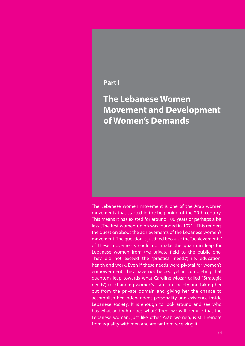## **Part I**

**The Lebanese Women Movement and Development of Women's Demands**

The Lebanese women movement is one of the Arab women movements that started in the beginning of the 20th century. This means it has existed for around 100 years or perhaps a bit less (The first women' union was founded in 1921). This renders the question about the achievements of the Lebanese women's movement. The question is justified because the "achievements" of these movements could not make the quantum leap for Lebanese women from the private field to the public one. They did not exceed the "practical needs", i.e. education, health and work. Even if these needs were pivotal for women's empowerment, they have not helped yet in completing that quantum leap towards what Caroline Mozar called "Strategic needs", i.e. changing women's status in society and taking her out from the private domain and giving her the chance to accomplish her independent personality and existence inside Lebanese society. It is enough to look around and see who has what and who does what? Then, we will deduce that the Lebanese woman, just like other Arab women, is still remote from equality with men and are far from receiving it.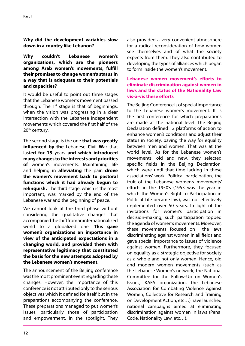**Why did the development variables slow down in a country like Lebanon?**

**Why couldn't Lebanese women's organizations, which are the pioneers among Arab women's movements, fulfill their promises to change women's status in a way that is adequate to their potentials and capacities?** 

It would be useful to point out three stages that the Lebanese women's movement passed through. The  $1<sup>st</sup>$  stage is that of beginnings, when the vision was progressing in a clear intersection with the Lebanese independent movements which covered the first half of the 20<sup>th</sup> century.

The second stage is the one **that was greatly influenced by the** Lebanese **C**ivil **W**ar that last**ed for 15** years **and which introduced many changes to the interests and priorities of** women's movements. Maintaining life and helping in **alleviating** the pain **drove the women's movement back to pastoral functions which it had already begun to relinquish.** The third stage, which is the most important, was marked by the end of the Lebanese war and the beginning of peace.

We cannot look at the third phase without considering the qualitative changes that accompanied the shift from an internationalized world to a globalized one. **This gave women's organizations an importance in view of the anticipated expectations in a changing world, and provided them with representative legitimacy that constituted the basis for the new attempts adopted by the Lebanese women's movement.** 

The announcement of the Beijing conference was the most prominent event regarding these changes. However, the importance of this conference is not attributed only to the serious objectives which it defined for itself but in the preparations accompanying the conference. These preparations managed to put women's issues, particularly those of participation and empowerment, in the spotlight. They also provided a very convenient atmosphere for a radical reconsideration of how women see themselves and of what the society expects from them. They also contributed to developing the types of alliances which began to form inside the women's movement.

#### **Lebanese women movement's efforts to eliminate discrimination against women in laws and the status of the Nationality Law vis-à-vis these efforts**

The Beijing Conference is of special importance to the Lebanese women's movement. It is the first conference for which preparations are made at the national level. The Beijing Declaration defined 12 platforms of action to enhance women's conditions and adjust their status in society, paving the way for equality between men and women. That was at the world level. As for the Lebanese women's movements, old and new, they selected specific fields in the Beijing Declaration, which were until that time lacking in these associations' work. Political participation, the fruit of the Lebanese women's movements' efforts in the 1950's (1953 was the year in which the Women's Right to Participation in Political Life became law), was not effectively implemented over 50 years. In light of the invitations for women's participation in decision-making, such participation topped the agenda of women's movements. Moreover, these movements focused on the laws discriminating against women in all fields and gave special importance to issues of violence against women. Furthermore, they focused on equality as a strategic objective for society as a whole and not only women. Hence, old and modern women movements (such as the Lebanese Women's network, the National Committee for the Follow-Up on Women's Issues, KAFA organization, the Lebanese Association for Combating Violence Against Women, Collective for Research and Training on Development Action, etc…) have launched national campaigns aimed at eliminating discrimination against women in laws (Penal Code, Nationality Law, etc…).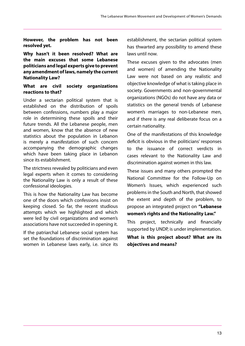**However, the problem has not been resolved yet.**

**Why hasn't it been resolved? What are the main excuses that some Lebanese politicians and legal experts give to prevent any amendment of laws, namely the current Nationality Law?**

#### **What are civil society organizations reactions to that?**

Under a sectarian political system that is established on the distribution of spoils between confessions, numbers play a major role in determining these spoils and their future trends. All the Lebanese people, men and women, know that the absence of new statistics about the population in Lebanon is merely a manifestation of such concern accompanying the demographic changes which have been taking place in Lebanon since its establishment.

The strictness revealed by politicians and even legal experts when it comes to considering the Nationality Law is only a result of these confessional ideologies.

This is how the Nationality Law has become one of the doors which confessions insist on keeping closed. So far, the recent studious attempts which we highlighted and which were led by civil organizations and women's associations have not succeeded in opening it.

If the patriarchal Lebanese social system has set the foundations of discrimination against women in Lebanese laws early, i.e. since its

establishment, the sectarian political system has thwarted any possibility to amend these laws until now.

These excuses given to the advocates (men and women) of amending the Nationality Law were not based on any realistic and objective knowledge of what is taking place in society. Governments and non-governmental organizations (NGOs) do not have any data or statistics on the general trends of Lebanese women's marriages to non-Lebanese men, and if there is any real deliberate focus on a certain nationality.

One of the manifestations of this knowledge deficit is obvious in the politicians' responses to the issuance of correct verdicts in cases relevant to the Nationality Law and discrimination against women in this law.

These issues and many others prompted the National Committee for the Follow-Up on Women's Issues, which experienced such problems in the South and North, that showed the extent and depth of the problem, to propose an integrated project on **"Lebanese women's rights and the Nationality Law."**

This project, technically and financially supported by UNDP, is under implementation.

**What is this project about? What are its objectives and means?**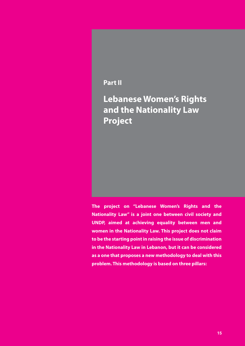## **Part II**

**Lebanese Women's Rights and the Nationality Law Project**

**The project on "Lebanese Women's Rights and the Nationality Law" is a joint one between civil society and UNDP, aimed at achieving equality between men and women in the Nationality Law. This project does not claim to be the starting point in raising the issue of discrimination in the Nationality Law in Lebanon, but it can be considered as a one that proposes a new methodology to deal with this problem. This methodology is based on three pillars:**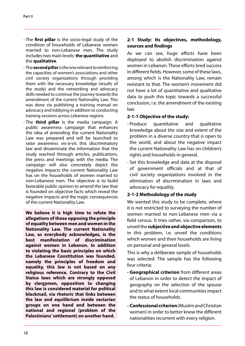- The **first pillar** is the socio-legal study of the condition of households of Lebanese women married to non-Lebanese men. The study includes two main levels: **the quantitative** and the **qualitative**.
- The **second pillar** is the one relevant to reinforcing the capacities of women's associations and other civil society organizations through providing them with the necessary knowledge (results of the study) and the networking and advocacy skills needed to continue the journey towards the amendment of the current Nationality Law. This was done via publishing a training manual on advocacy and lobbying in addition to conducting training sessions across Lebanese regions.
- The **third pillar** is the media campaign: A public awareness campaign that enhances the idea of amending the current Nationality Law was prepared and will be launched to raise awareness vis-à-vis this discriminatory law and disseminate the information that the study reached through articles, publications, the press and meetings with the media. The campaign will also concretely depict the negative impacts the current Nationality Law has on the households of women married to non-Lebanese men. The objective is to build favorable public opinion to amend the law that is founded on objective facts which reveal the negative impacts and the tragic consequences of the current Nationality Law.

**We believe it is high time to refute the allegations of those opposing the principle of equality between men and women in the Nationality Law. The current Nationality Law, as everybody acknowledges, is the best manifestation of discrimination against women in Lebanon. In addition to violating the basic principles on which the Lebanese Constitution was founded, namely the principles of freedom and equality, this law is not based on any religious reference. Contrary to the Civil Status laws which are strongly opposed by clergymen, opposition to changing this law is considered material for political blackmail, via rhetoric that links between the law and equilibrium inside sectarian groups on one hand and between the national and regional (problem of the Palestinians' settlement) on another hand.** 

## **2-1 Study: Its objectives, methodology, sources and findings**

As we can see, huge efforts have been deployed to abolish discrimination against women in Lebanon. These efforts bred success in different fields. However, some of these laws, among which is the Nationality Law, remain resistant to that. The women's movement did not have a lot of quantitative and qualitative data to push this topic towards a successful conclusion, i.e. the amendment of the existing law.

## **2-1-1 Objective of the study:**

- Produce quantitative and qualitative knowledge about the size and extent of the problem in a diverse country that is open to the world, and about the negative impact the current Nationality Law has on children's rights and households in general.
- Set this knowledge and data at the disposal of government officials and at that of civil society organizations involved in the elimination of discrimination in laws and advocacy for equality.

#### **2-1-2 Methodology of the study**

We wanted this study to be complete, where it is not restricted to surveying the number of women married to non-Lebanese men via a field census. It tries rather, via comparison, to unveil the **subjective and objective elements**  in this problem, i.e. unveil the conditions which women and their households are living on personal and general levels.

This is why a deliberate sample of households was selected. The sample has the following four criteria:

- **Geographical criterion** from different areas of Lebanon in order to detect the impact of geography on the selection of the spouse and to what extent local communities impact the status of households.
- **Confessional criterion** (Muslim and Christian women) in order to better know the different nationalities recurrent with every religion.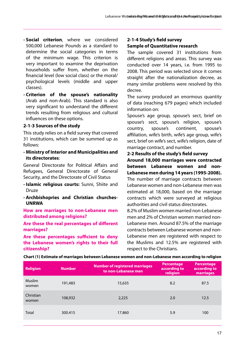- **Social criterion**, where we considered 500,000 Lebanese Pounds as a standard to determine the social categories in terms of the minimum wage. This criterion is very important to examine the deprivation households suffer from, whether on the financial level (low social class) or the moral/ psychological levels (middle and upper classes).
- **Criterion of the spouse's nationality**  (Arab and non-Arab). This standard is also very significant to understand the different trends resulting from religious and cultural influences on these options.

#### **2-1-3 Sources of the study**

This study relies on a field survey that covered 31 institutions, which can be summed up as follows:

**- Ministry of Interior and Municipalities and its directorates**:

General Directorate for Political Affairs and Refugees, General Directorate of General Security, and the Directorate of Civil Status

- **Islamic religious courts:** Sunni, Shiite and Druze
- **Archbishopries and Christian churches-UNRWA**

**How are marriages to non-Lebanese men distributed among religions?**

**Are these the real percentages of different marriages?**

**Are these percentages sufficient to deny the Lebanese women's rights to their full citizenship?**

## **2-1-4 Study's field survey Sample of Quantitative research**

The sample covered 31 institutions from different religions and areas. This survey was conducted over 14 years, i.e. from 1995 to 2008. This period was selected since it comes straight after the nationalization decree, as many similar problems were resolved by this decree.

The survey produced an enormous quantity of data (reaching 679 pages) which included information on:

Spouse's age group, spouse's sect, brief on spouse's sect, spouse's religion, spouse's country, spouse's continent, spouse's affiliation, wife's birth, wife's age group, wife's sect, brief on wife's sect, wife's religion, date of marriage contract, and number.

#### **2-2 Results of the study's field survey**

**Around 18,000 marriages were contracted between Lebanese women and non-Lebanese men during 14 years (1995-2008).** The number of marriage contracts between Lebanese women and non-Lebanese men was estimated at 18,000, based on the marriage contracts which were surveyed at religious authorities and civil status directorates.

8.2% of Muslim women married non-Lebanese men and 2% of Christian women married non-Lebanese men. Around 87.5% of the marriage contracts between Lebanese women and non-Lebanese men are registered with respect to the Muslims and 12.5% are registered with respect to the Christians.

| <b>Religion</b>        | <b>Number</b> | <b>Number of registered marriages</b><br>to non-Lebanese men | <b>Percentage</b><br>according to<br>religion | <b>Percentage</b><br>according to<br>marriages |
|------------------------|---------------|--------------------------------------------------------------|-----------------------------------------------|------------------------------------------------|
| <b>Muslim</b><br>women | 191,483       | 15,635                                                       | 8.2                                           | 87.5                                           |
| Christian<br>women     | 108,932       | 2,225                                                        | 2.0                                           | 12.5                                           |
| <b>Total</b>           | 300.415       | 17.860                                                       | 5.9                                           | 100                                            |

**Chart (1) Estimate of marriages between Lebanese women and non-Lebanese men according to religion**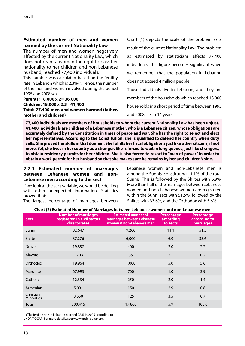#### **Estimated number of men and women harmed by the current Nationality Law**

The number of men and women negatively affected by the current Nationality Law, which does not grant a woman the right to pass her nationality to her children and non-Lebanese husband, reached 77,400 individuals.

This number was calculated based on the fertility rate in Lebanon which is 2.3%(1) . Hence, the number of the men and women involved during the period 1995 and 2008 was:

#### **Parents: 18,000 x 2= 36,000 Children: 18,000 x 2.3= 41,400 Total: 77,400 men and women harmed (father, mother and children)**

Chart (1) depicts the scale of the problem as a result of the current Nationality Law. The problem as estimated by statisticians affects 77,400 individuals. This figure becomes significant when we remember that the population in Lebanon does not exceed 4 million people.

Those individuals live in Lebanon, and they are members of the households which reached 18,000 households in a short period of time between 1995 and 2008, i.e. in 14 years.

**77,400 individuals are members of households to whom the current Nationality Law has been unjust. 41,400 individuals are children of a Lebanese mother, who is a Lebanese citizen, whose obligations are accurately defined by the Constitution in times of peace and war. She has the right to select and elect her representatives. According to the Constitution, she is qualified to defend her country when duty calls. She proved her skills in that domain. She fulfills her fiscal obligations just like other citizens, if not more. Yet, she lives in her country as a stranger. She is forced to wait in long queues, just like strangers, to obtain residency permits for her children. She is also forced to resort to "men of power" in order to obtain a work permit for her husband so that she makes sure he remains by her and children's side.** 

#### **2-2-1 Estimated number of marriages between Lebanese women and non-Lebanese men according to the sect**

If we look at the sect variable, we would be dealing with other unexpected information. Statistics proved that:

The largest percentage of marriages between

Lebanese women and non-Lebanese men is among the Sunnis, constituting 11.1% of the total Sunnis. This is followed by the Shiites with 6.9%. More than half of the marriages between Lebanese women and non-Lebanese women are registered within the Sunni sect with 51.5%, followed by the Shiites with 33.6%, and the Orthodox with 5.6%.

| <b>Sect</b>                    | <b>Number of marriages</b><br>registered in civil status<br><b>directorates</b> | <b>Estimated number of</b><br>marriages between Lebanese<br>women & non-Lebanese men | <b>Percentage</b><br>according<br>to sects | <b>Percentage</b><br>according to<br>marriages |
|--------------------------------|---------------------------------------------------------------------------------|--------------------------------------------------------------------------------------|--------------------------------------------|------------------------------------------------|
| Sunni                          | 82,647                                                                          | 9,200                                                                                | 11.1                                       | 51.5                                           |
| Shiite                         | 87,276                                                                          | 6,000                                                                                | 6.9                                        | 33.6                                           |
| Druze                          | 19,857                                                                          | 400                                                                                  | 2.0                                        | 2.2                                            |
| Alawite                        | 1,703                                                                           | 35                                                                                   | 2.1                                        | 0.2                                            |
| Orthodox                       | 19,964                                                                          | 1,000                                                                                | 5.0                                        | 5.6                                            |
| Maronite                       | 67,993                                                                          | 700                                                                                  | 1.0                                        | 3.9                                            |
| Catholic                       | 12,334                                                                          | 250                                                                                  | 2.0                                        | 1.4                                            |
| Armenian                       | 5,091                                                                           | 150                                                                                  | 2.9                                        | 0.8                                            |
| Christian<br><b>Minorities</b> | 3,550                                                                           | 125                                                                                  | 3.5                                        | 0.7                                            |
| Total                          | 300,415                                                                         | 17,860                                                                               | 5.9                                        | 100.0                                          |

#### **Chart (2) Estimated Number of Marriages between Lebanese women and non-Lebanese men**

(1) The fertility rate in Lebanon reached 2.3% in 2005 according to UNDP/POGAR. For more details, see: www.undp-pogar.org.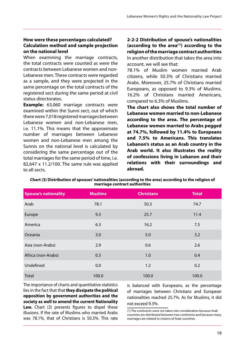### **How were these percentages calculated? Calculation method and sample projection on the national level**

When examining the marriage contracts, the total contracts were counted as were the contracts between Lebanese women and non-Lebanese men. These contracts were regarded as a sample, and they were projected in the same percentage on the total contracts of the registered sect during the same period at civil status directorates.

**Example:** 63,060 marriage contracts were examined within the Sunni sect, out of which there were 7,018 registered marriages between Lebanese women and non-Lebanese men, i.e. 11.1%. This means that the approximate number of marriages between Lebanese women and non-Lebanese men among the Sunnis on the national level is calculated by considering the same percentage out of the total marriages for the same period of time, i.e. 82,647 x 11.2/100. The same rule was applied to all sects.

**2-2-2 Distribution of spouse's nationalities (according to the area(1) ) according to the religion of the marriage contract authorities** In another distribution that takes the area into account, we will see that:

78.1% of Muslim women married Arab citizens, while 50.3% of Christians married Arabs. Moreover, 25.7% of Christians married Europeans, as opposed to 9.3% of Muslims. 16.2% of Christians married Americans, compared to 6.3% of Muslims.

**The chart also shows the total number of Lebanese women married to non-Lebanese according to the area. The percentage of Lebanese women married to Arabs pegged at 74.7%, followed by 11.4% to Europeans and 7.5% to Americans. This translates Lebanon's status as an Arab country in the Arab world. It also illustrates the reality of confessions living in Lebanon and their relations with their surroundings and abroad.** 

| Chart (3) Distribution of spouses' nationalities (according to the area) according to the religion of<br>marriage contract authorities |
|----------------------------------------------------------------------------------------------------------------------------------------|
|                                                                                                                                        |

| <b>Spouse's nationality</b> | <b>Muslims</b> | <b>Christians</b> | <b>Total</b> |
|-----------------------------|----------------|-------------------|--------------|
| Arab                        | 78.1           | 50.3              | 74.7         |
| Europe                      | 9.3            | 25.7              | 11.4         |
| America                     | 6.3            | 16.2              | 7.5          |
| Oceania                     | 3.0            | 5.0               | 3.2          |
| Asia (non-Arabs)            | 2.9            | 0.6               | 2.6          |
| Africa (non-Arabs)          | 0.3            | 1.0               | 0.4          |
| Undefined                   | 0.0            | 1.2               | 0.2          |
| <b>Total</b>                | 100.0          | 100.0             | 100.0        |

The importance of charts and quantitative statistics lies in the fact that that **they dissipate the political opposition by government authorities and the society as well to amend the current Nationality**  Law. Chart (3) presents figures to dispel these illusions. If the rate of Muslims who married Arabs was 78.1%, that of Christians is 50.3%. This rate is balanced with Europeans, as the percentage of marriages between Christians and European nationalities reached 25.7%. As for Muslims, it did not exceed 9.3%.

(1) The continents were not taken into consideration because Arab countries are distributed between two continents and because many marriages are related to citizens of Arab countries.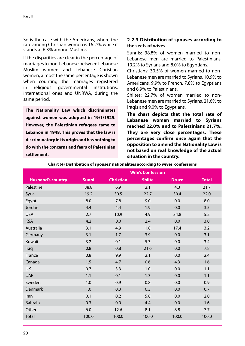So is the case with the Americans, where the rate among Christian women is 16.2%, while it stands at 6.3% among Muslims.

If the disparities are clear in the percentage of marriages to non-Lebanese between Lebanese Muslim women and Lebanese Christian women, almost the same percentage is shown when counting the marriages registered in religious governmental institutions, international ones and UNRWA, during the same period.

**The Nationality Law which discriminates against women was adopted in 19/1/1925. However, the Palestinian refugees came to Lebanon in 1948. This proves that the law is discriminatory in its origin and has nothing to do with the concerns and fears of Palestinian settlement.**

## **2-2-3 Distribution of spouses according to the sects of wives**

Sunnis: 38.8% of women married to non-Lebanese men are married to Palestinians, 19.2% to Syrians and 8.0% to Egyptians.

Christians: 30.5% of women married to non-Lebanese men are married to Syrians, 10.9% to Americans, 9.9% to French, 7.8% to Egyptians and 6.9% to Palestinians.

Shiites: 22.7% of women married to non-Lebanese men are married to Syrians, 21.6% to Iraqis and 9.0% to Egyptians.

**The chart depicts that the total rate of Lebanese women married to Syrians reached 22.0% and to Palestinians 21.7%. They are very close percentages. These percentages confirm once again that the opposition to amend the Nationality Law is not based on real knowledge of the actual situation in the country.**

|                          | <b>Wife's Confession</b> |                  |               |              |              |
|--------------------------|--------------------------|------------------|---------------|--------------|--------------|
| <b>Husband's country</b> | <b>Sunni</b>             | <b>Christian</b> | <b>Shiite</b> | <b>Druze</b> | <b>Total</b> |
| Palestine                | 38.8                     | 6.9              | 2.1           | 4.3          | 21.7         |
| Syria                    | 19.2                     | 30.5             | 22.7          | 30.4         | 22.0         |
| Egypt                    | 8.0                      | 7.8              | 9.0           | 0.0          | 8.0          |
| Jordan                   | 4.4                      | 4.4              | 1.9           | 0.0          | 3.5          |
| <b>USA</b>               | 2.7                      | 10.9             | 4.9           | 34.8         | 5.2          |
| <b>KSA</b>               | 4.2                      | 0.0              | 2.4           | 0.0          | 3.0          |
| Australia                | 3.1                      | 4.9              | 1.8           | 17.4         | 3.2          |
| Germany                  | 3.1                      | 1.7              | 3.9           | 0.0          | 3.1          |
| Kuwait                   | 3.2                      | 0.1              | 5.3           | 0.0          | 3.4          |
| Iraq                     | 0.8                      | 0.8              | 21.6          | 0.0          | 7.8          |
| France                   | 0.8                      | 9.9              | 2.1           | 0.0          | 2.4          |
| Canada                   | 1.5                      | 4.7              | 0.6           | 4.3          | 1.6          |
| UK                       | 0.7                      | 3.3              | 1.0           | 0.0          | 1.1          |
| <b>UAE</b>               | 1.1                      | 0.1              | 1.3           | 0.0          | 1.1          |
| Sweden                   | 1.0                      | 0.9              | 0.8           | 0.0          | 0.9          |
| Denmark                  | 1.0                      | 0.3              | 0.3           | 0.0          | 0.7          |
| Iran                     | 0.1                      | 0.2              | 5.8           | 0.0          | 2.0          |
| <b>Bahrain</b>           | 0.3                      | 0.0              | 4.4           | 0.0          | 1.6          |
| Other                    | 6.0                      | 12.6             | 8.1           | 8.8          | 7.7          |
| Total                    | 100.0                    | 100.0            | 100.0         | 100.0        | 100.0        |

**Chart (4) Distribution of spouses' nationalities according to wives' confessions**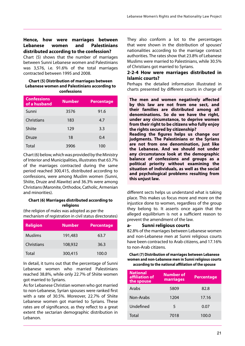## **Hence, how were marriages between Lebanese women and Palestinians distributed according to the confession?**

Chart (5) shows that the number of marriages between Sunni Lebanese women and Palestinians was 3,576, i.e. 91.6% of the total marriages contracted between 1995 and 2008.

#### **Chart (5) Distribution of marriages between Lebanese women and Palestinians according to confessions**

| <b>Confessions</b><br>of a husband | <b>Number</b> | Percentage |
|------------------------------------|---------------|------------|
| Sunni                              | 3576          | 91.6       |
| Christians                         | 183           | 4.7        |
| Shiite                             | 129           | 3.3        |
| Druze                              | 18            | 0.4        |
| Total                              | 3906          | 100        |

Chart (6) below, which was provided by the Ministry of Interior and Municipalities, illustrates that 63.7% of the marriages contracted during the same period reached 300,415, distributed according to confessions, were among Muslim women (Sunni, Shiite, Druze and Alawite) and 36.3% were among Christians (Maronite, Orthodox, Catholic, Armenian and minorities).

#### **Chart (6) Marriages distributed according to religions**

(the religion of males was adopted as per the mechanism of registration in civil status directorates)

| <b>Religion</b> | <b>Number</b> | <b>Percentage</b> |
|-----------------|---------------|-------------------|
| <b>Muslims</b>  | 191,483       | 63.7              |
| Christians      | 108,932       | 36.3              |
| Total           | 300,415       | 100.0             |

In detail, it turns out that the percentage of Sunni Lebanese women who married Palestinians reached 38.8%, while only 22.7% of Shiite women got married to Syrians.

As for Lebanese Christian women who got married to non-Lebanese, Syrian spouses were ranked first with a rate of 30.5%. Moreover, 22.7% of Shiite Lebanese women got married to Syrians. These rates are of significance, as they reflect to a great extent the sectarian demographic distribution in Lebanon.

They also conform a lot to the percentages that were shown in the distribution of spouses' nationalities according to the marriage contract authorities. The rates show that 23.8% of Lebanese Muslims were married to Palestinians, while 30.5% of Christians got married to Syrians.

#### **2-2-4 How were marriages distributed in Islamic courts?**

Perhaps the detailed information illustrated in charts presented by different courts in charge of

**The men and women negatively affected by this law are not from one sect, and their families are distributed among all denominations. So do we have the right, under any circumstance, to deprive women from their right to be citizens who fully enjoy the rights secured by citizenship? Reading the figures helps us change our judgments. The Palestinians or the Syrians are not from one denomination, just like the Lebanese. And we should not under any circumstance look at the demographic balance of confessions and groups as a political priority without examining the situation of individuals, as well as the social and psychological problems resulting from this unjust law.**

different sects helps us understand what is taking place. This makes us focus more and more on the injustice done to women, regardless of the group they belong to. It asserts once again that the alleged equilibrium is not a sufficient reason to prevent the amendment of the law.

#### **a- Sunni religious courts**

82.8% of the marriages between Lebanese women and non-Lebanese men at Sunni religious courts have been contracted to Arab citizens, and 17.16% to non-Arab citizens.

#### **Chart (7) Distribution of marriages between Lebanese women and non-Lebanese men in Sunni religious courts according to the national affiliation of the spouse**

| <b>National</b><br>affiliation of<br>the spouse | <b>Number of</b><br>marriages | <b>Percentage</b> |
|-------------------------------------------------|-------------------------------|-------------------|
| Arabs                                           | 5809                          | 82.8              |
| Non-Arabs                                       | 1204                          | 17.16             |
| Undefined                                       | 5                             | 0.07              |
| Total                                           | 7018                          | 100.0             |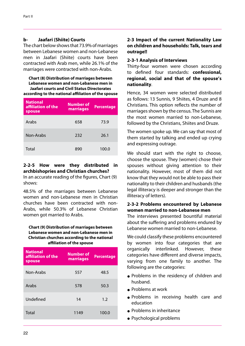#### **b- Jaafari (Shiite) Courts**

The chart below shows that 73.9% of marriages between Lebanese women and non-Lebanese men in Jaafari (Shiite) courts have been contracted with Arab men, while 26.1% of the marriages were contracted with non-Arabs.

**Chart (8) Distribution of marriages between Lebanese women and non-Lebanese men in Jaafari courts and Civil Status Directorates according to the national affiliation of the spouse**

| <b>National</b><br>affiliation of the<br>spouse | Number of<br>marriages | <b>Percentage</b> |
|-------------------------------------------------|------------------------|-------------------|
| Arabs                                           | 658                    | 73.9              |
| Non-Arabs                                       | 232                    | 26.1              |
| Total                                           | 890                    | 100.0             |

## **2-2-5 How were they distributed in archbishopries and Christian churches?**

In an accurate reading of the figures, Chart (9) shows:

48.5% of the marriages between Lebanese women and non-Lebanese men in Christian churches have been contracted with non-Arabs, while 50.3% of Lebanese Christian women got married to Arabs.

#### **Chart (9) Distribution of marriages between Lebanese women and non-Lebanese men in Christian churches according to the national affiliation of the spouse**

| <b>National</b><br>affiliation of the<br>spouse | <b>Number of</b><br>marriages | <b>Percentage</b> |
|-------------------------------------------------|-------------------------------|-------------------|
| Non-Arabs                                       | 557                           | 48.5              |
| Arabs                                           | 578                           | 50.3              |
| Undefined                                       | 14                            | 1.2               |
| Total                                           | 1149                          | 100.0             |

## **2-3 Impact of the current Nationality Law on children and households: Talk, tears and outrage!!**

#### **2-3-1 Analysis of Interviews**

Thirty-four women were chosen according to defined four standards: **confessional, regional, social and that of the spouse's nationality**.

Hence, 34 women were selected distributed as follows: 13 Sunnis, 9 Shiites, 4 Druze and 8 Christians. This option reflects the number of marriages shown by the census. The Sunnis are the most women married to non-Lebanese, followed by the Christians, Shiites and Druze.

The women spoke up. We can say that most of them started by talking and ended up crying and expressing outrage.

We should start with the right to choose, choose the spouse. They (women) chose their spouses without giving attention to their nationality. However, most of them did not know that they would not be able to pass their nationality to their children and husbands (the legal illiteracy is deeper and stronger than the illiteracy of letters).

#### **2-3-2 Problems encountered by Lebanese women married to non-Lebanese men**

The interviews presented bountiful material about the suffering and problems endured by Lebanese women married to non-Lebanese.

We could classify these problems encountered by women into four categories that are organically interlinked. However, these categories have different and diverse impacts, varying from one family to another. The following are the categories:

- Problems in the residency of children and husband.
- Problems at work
- Problems in receiving health care and education
- Problems in inheritance
- Psychological problems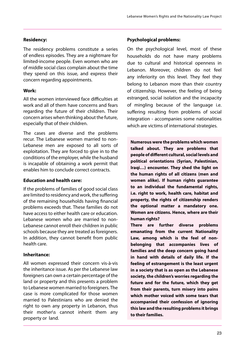## **Residency:**

The residency problems constitute a series of endless episodes. They are a nightmare for limited-income people. Even women who are of middle social class complain about the time they spend on this issue, and express their concern regarding appointments.

## **Work:**

All the women interviewed face difficulties at work and all of them have concerns and fears regarding the future of their children. Their concern arises when thinking about the future, especially that of their children.

The cases are diverse and the problems recur. The Lebanese women married to non-Lebanese men are exposed to all sorts of exploitation. They are forced to give in to the conditions of the employer, while the husband is incapable of obtaining a work permit that enables him to conclude correct contracts.

#### **Education and health care:**

If the problems of families of good social class are limited to residency and work, the suffering of the remaining households having financial problems exceeds that. These families do not have access to either health care or education. Lebanese women who are married to non-Lebanese cannot enroll their children in public schools because they are treated as foreigners. In addition, they cannot benefit from public health care.

## **Inheritance:**

All women expressed their concern vis-à-vis the inheritance issue. As per the Lebanese law foreigners can own a certain percentage of the land or property and this presents a problem to Lebanese women married to foreigners. The case is more complicated for those women married to Palestinians who are denied the right to own any property in Lebanon, thus their mother\s cannot inherit them any property or land.

## **Psychological problems:**

On the psychological level, most of these households do not have many problems due to cultural and historical openness in Lebanon. Moreover, children do not feel any inferiority on this level. They feel they belong to Lebanon more than their country of citizenship. However, the feeling of being estranged, social isolation and the incapacity of mingling because of the language i.e. suffering resulting from problems of social integration - accompanies some nationalities which are victims of international strategies.

**Numerous were the problems which women talked about. They are problems that people of different cultural, social levels and political orientations (Syrian, Palestinian, Iraqi…) encounter. They shed the light on the human rights of all citizens (men and women alike). If human rights guarantee to an individual the fundamental rights, i.e. right to work, health care, habitat and property, the rights of citizenship renders the optional matter a mandatory one. Women are citizens. Hence, where are their human rights?**

**There are further diverse problems emanating from the current Nationality Law, among which is the feel of nonbelonging that accompanies lives of families and the deep concern going hand in hand with details of daily life. If the feeling of estrangement is the least urgent in a society that is as open as the Lebanese society, the children's worries regarding the future and for the future, which they get from their parents, turn misery into pains which mother voiced with some tears that accompanied their confession of ignoring this law and the resulting problems it brings to their families.**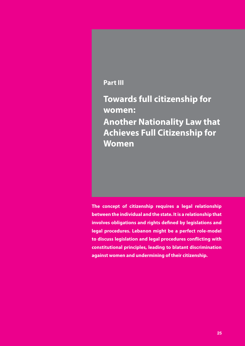## **Part III**

**Towards full citizenship for women: Another Nationality Law that Achieves Full Citizenship for Women**

**The concept of citizenship requires a legal relationship between the individual and the state. It is a relationship that involves obligations and rights defined by legislations and legal procedures. Lebanon might be a perfect role-model to discuss legislation and legal procedures conflicting with constitutional principles, leading to blatant discrimination against women and undermining of their citizenship.**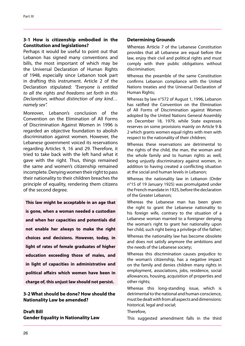#### **3-1 How is citizenship embodied in the Constitution and legislations?**

Perhaps it would be useful to point out that Lebanon has signed many conventions and bills, the most important of which may be the Universal Declaration of Human Rights of 1948, especially since Lebanon took part in drafting this instrument. Article 2 of the Declaration stipulated: *"Everyone is entitled to all the rights and freedoms set forth in this Declaration, without distinction of any kind… namely sex".*

Moreover, Lebanon's conclusion of the Convention on the Elimination of All Forms of Discrimination Against Women in 1996 is regarded an objective foundation to abolish discrimination against women. However, the Lebanese government voiced its reservations regarding Articles 9, 16 and 29. Therefore, it tried to take back with the left hand what it gave with the right. Thus, things remained the same and women's citizenship remained incomplete. Denying women their right to pass their nationality to their children breaches the principle of equality, rendering them citizens of the second degree.

**This law might be acceptable in an age that is gone, when a woman needed a custodian and when her capacities and potentials did not enable her always to make the right choices and decisions. However, today, in light of rates of female graduates of higher education exceeding those of males, and in light of capacities in administrative and political affairs which women have been in charge of, this unjust law should not persist.**

#### **3-2 What should be done? How should the Nationality Law be amended?**

**Draft Bill Gender Equality in Nationality Law**

#### **Determining Grounds**

Whereas Article 7 of the Lebanese Constitution provides that all Lebanese are equal before the law, enjoy their civil and political rights and must comply with their public obligations without discrimination;

Whereas the preamble of the same Constitution confirms Lebanon compliance with the United Nations treaties and the Universal Declaration of Human Rights;

Whereas by law n°572 of August 1, 1996, Lebanon has ratified the Convention on the Elimination of All Forms of Discrimination against Women adopted by the United Nations General Assembly on December 18, 1979, while State expresses reserves on some provisions mainly on Article 9 & 2 which grants women equal rights with men with respect to the nationality of their children;

Whereas these reservations are detrimental to the rights of the child, the man, the woman and the whole family and to human rights as well, being unjustly discriminatory against women, in addition to having created a conflicting situation at the social and human levels in Lebanon;

Whereas the nationality law in Lebanon (Order n°15 of 19 January 1925) was promulgated under the French mandate in 1925, before the declaration of the Greater Lebanon;

Whereas the Lebanese man has been given the right to grant the Lebanese nationality to his foreign wife, contrary to the situation of a Lebanese woman married to a foreigner denying the woman's right to grant her nationality upon her child, such right being a privilege of the father;

Whereas the nationality law has become obsolete and does not satisfy anymore the ambitions and the needs of the Lebanese society;

Whereas this discrimination causes prejudice to the woman's citizenship, has a negative impact on the family and denies children many rights in employment, associations, jobs, residence, social allowances, housing, acquisition of properties and other rights;

Whereas this long-standing issue, which is detrimental to the national and human conscience, must be dealt with from all aspects and dimensions: historical, legal and social;

Therefore,

This suggested amendment falls in the third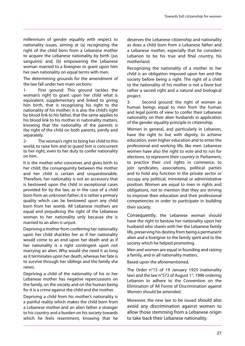millennium of gender equality with respect to nationality issues, aiming at (a) recognizing the right of the child born from a Lebanese mother to acquire the Lebanese nationality by birth (jus sanguinis) and, (b) empowering the Lebanese woman married to a foreigner to grant upon him her own nationality on equal terms with men.

The determining grounds for the amendment of the law fall under two main sections:

1- First ground: This ground tackles the woman's right to grant upon her child what is equivalent, supplementary and linked to giving him birth, that is recognizing his right to the nationality of his mother; it is also the child's right by blood link to his father, that the same applies to his blood link to his mother in nationality matters, knowing that the nationality of the parents is the right of the child on both parents, jointly and separately.

2- The woman's right to bring her child to this world, to raise him and to guard him is concurrent to her right, even to her duty to confer nationality on him.

It is the mother who conceives and gives birth to her child; the consanguinity between the mother and her child is certain and unquestionable. Therefore, her nationality is not an accessory that is bestowed upon the child in exceptional cases provided for by the law, as in the case of a child born from an unknown father; it is rather a primary quality which can be bestowed upon any child born from her womb. All Lebanese mothers are equal and prejudicing the right of the Lebanese woman to her nationality only because she is married to an alien is unjust.

Depriving a mother from conferring her nationality upon her child shackles her as if her nationality would come to an end upon her death and as if her nationality is a right contingent upon not marrying an alien. Why would she need it as long as it terminates upon her death, whereas her fate is to survive through her siblings and the family she raises.

Depriving a child of the nationality of his or her Lebanese mother has negative repercussions on the family, on the society and on the human being for it is a crime against the child and the mother.

Depriving a child from his mother's nationality is a painful reality which makes the child born from a Lebanese mother and an alien father a stranger to his country and a burden on his society towards which he feels resentment, knowing that he deserves the Lebanese citizenship and nationality as does a child born from a Lebanese father and a Lebanese mother, especially that he considers Lebanon to be his true and final country, his motherland.

Recognizing the nationality of a mother to her child is an obligation imposed upon her and the society before being a right. The right of a child to the nationality of his mother is not a favor but rather a sacred right and a natural and biological project.

3- Second ground: the right of women as human beings equal to men from the human and legal points of view to confer their Lebanese nationality on their alien husbands in application of the gender equality principle in citizenship.

Women in general, and particularly in Lebanon, have the right to live with dignity, to achieve education, even higher education and to enter the professional and working life, like men. Lebanese women have also the right to vote and to run for elections, to represent their country in Parliament, to practice their civil rights in commerce, to join syndicates, associations, political parties and to hold any function in the private sector or occupy any political, ministerial or administrative position. Women are equal to men in rights and obligations, not to mention that they are striving to improve their education and their professional competencies in order to participate in building their society.

Consequently, the Lebanese woman should have the right to bestow her nationality upon her husband who shares with her the Lebanese family life, preserving his destiny from being a permanent alien and a foreigner to the family spirit and to the society which he helped promoting.

Men and women are equal in founding and raising a family, and in all nationality matters.

Based upon the aforementioned,

The Order n°15 of 19 January 1925 (nationality law) and the law  $n^{\circ}$ 572 of August 1<sup>st</sup>, 1996 ordering Lebanon to adhere to the Convention on the Elimination of All Forms of Discrimination against Women should be amended.

Moreover, the new law to be issued should also avoid any discrimination against women to allow those stemming from a Lebanese origin to take back their Lebanese nationality.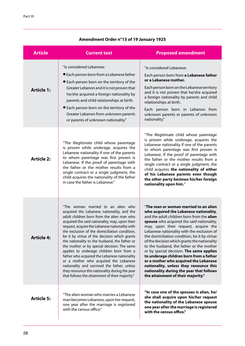| <b>Article</b>    | <b>Current text</b>                                                                                                                                                                                                                                                                                                                                                                                                                                                                                                                                                                                                                                                                                                          | <b>Proposed amendment</b>                                                                                                                                                                                                                                                                                                                                                                                                                                                                                                                                                                                                                                                |
|-------------------|------------------------------------------------------------------------------------------------------------------------------------------------------------------------------------------------------------------------------------------------------------------------------------------------------------------------------------------------------------------------------------------------------------------------------------------------------------------------------------------------------------------------------------------------------------------------------------------------------------------------------------------------------------------------------------------------------------------------------|--------------------------------------------------------------------------------------------------------------------------------------------------------------------------------------------------------------------------------------------------------------------------------------------------------------------------------------------------------------------------------------------------------------------------------------------------------------------------------------------------------------------------------------------------------------------------------------------------------------------------------------------------------------------------|
| <b>Article 1:</b> | "Is considered Lebanese:<br><b>•</b> Each person born from a Lebanese father<br>• Each person born on the territory of the<br>Greater Lebanon and it is not proven that<br>he/she acquired a foreign nationality by<br>parents and child relationships at birth.<br>• Each person born on the territory of the<br>Greater Lebanon from unknown parents<br>or parents of unknown nationality."                                                                                                                                                                                                                                                                                                                                | "Is considered Lebanese:<br>Each person born from a Lebanese father<br>or a Lebanese mother.<br>Each person born on the Lebanese territory<br>and it is not proven that he/she acquired<br>a foreign nationality by parents and child<br>relationships at birth.<br>Each person born in Lebanon from<br>unknown parents or parents of unknown<br>nationality."                                                                                                                                                                                                                                                                                                           |
| <b>Article 2:</b> | "The illegitimate child whose parentage<br>is proven while underage, acquires the<br>Lebanese nationality if one of the parents<br>to whom parentage was first proven is<br>Lebanese. If the proof of parentage with<br>the father or the mother results from a<br>single contract or a single judgment, the<br>child acquires the nationality of the father<br>in case the father is Lebanese."                                                                                                                                                                                                                                                                                                                             | "The illegitimate child whose parentage<br>is proven while underage, acquires the<br>Lebanese nationality if one of the parents<br>to whom parentage was first proven is<br>Lebanese. If the proof of parentage with<br>the father or the mother results from a<br>single contract or a single judgment, the<br>child acquires the nationality of either<br>of his Lebanese parents even though<br>the other party bestows his/her foreign<br>nationality upon him."                                                                                                                                                                                                     |
| <b>Article 4:</b> | "The woman married to an alien who<br>acquired the Lebanese nationality, and the<br>adult children born from the alien man who<br>acquired the said nationality, may, upon their<br>request, acquire the Lebanese nationality with<br>the exclusion of the domiciliation condition,<br>be it by virtue of the decision which grants<br>the nationality to the husband, the father or<br>the mother or by special decision. The same<br>applies to underage children born from a<br>father who acquired the Lebanese nationality<br>or a mother who acquired the Lebanese<br>nationality and survived the father, unless<br>they renounce this nationality during the year<br>that follows the attainment of their majority." | "The man or woman married to an alien<br>who acquired the Lebanese nationality,<br>and the adult children born from the alien<br>spouse who acquired the said nationality,<br>may, upon their request, acquire the<br>Lebanese nationality with the exclusion of<br>the domiciliation condition, be it by virtue<br>of the decision which grants the nationality<br>to the husband, the father or the mother<br>or by special decision. The same applies<br>to underage children born from a father<br>or a mother who acquired the Lebanese<br>nationality, unless they renounce this<br>nationality during the year that follows<br>the attainment of their majority." |
| <b>Article 5:</b> | "The alien woman who marries a Lebanese<br>man becomes Lebanese, upon her request,<br>one year after the marriage is registered<br>with the census office."                                                                                                                                                                                                                                                                                                                                                                                                                                                                                                                                                                  | "In case one of the spouses is alien, he/<br>she shall acquire upon his/her request<br>the nationality of the Lebanese spouse<br>one year after the marriage is registered<br>with the census office."                                                                                                                                                                                                                                                                                                                                                                                                                                                                   |

## **Amendment Order n°15 of 19 January 1925**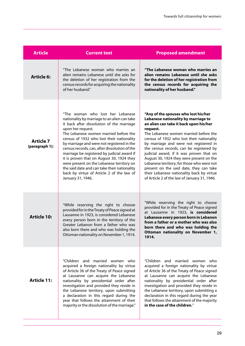| <b>Article</b>                     | <b>Current text</b>                                                                                                                                                                                                                                                                                                                                                                                                                                                                                                                                                                                | <b>Proposed amendment</b>                                                                                                                                                                                                                                                                                                                                                                                                                                                                                                                                                                   |
|------------------------------------|----------------------------------------------------------------------------------------------------------------------------------------------------------------------------------------------------------------------------------------------------------------------------------------------------------------------------------------------------------------------------------------------------------------------------------------------------------------------------------------------------------------------------------------------------------------------------------------------------|---------------------------------------------------------------------------------------------------------------------------------------------------------------------------------------------------------------------------------------------------------------------------------------------------------------------------------------------------------------------------------------------------------------------------------------------------------------------------------------------------------------------------------------------------------------------------------------------|
| <b>Article 6:</b>                  | "The Lebanese woman who marries an<br>alien remains Lebanese until she asks for<br>the deletion of her registration from the<br>census records for acquiring the nationality<br>of her husband."                                                                                                                                                                                                                                                                                                                                                                                                   | "The Lebanese woman who marries an<br>alien remains Lebanese until she asks<br>for the deletion of her registration from<br>the census records for acquiring the<br>nationality of her husband."                                                                                                                                                                                                                                                                                                                                                                                            |
| <b>Article 7</b><br>(paragraph 1): | "The woman who lost her Lebanese<br>nationality by marriage to an alien can take<br>it back after dissolution of the marriage<br>upon her request.<br>The Lebanese women married before the<br>census of 1932 who lost their nationality<br>by marriage and were not registered in the<br>census records, can, after dissolution of the<br>marriage be registered by judicial award if<br>it is proven that on August 30, 1924 they<br>were present on the Lebanese territory on<br>the said date and can take their nationality<br>back by virtue of Article 2 of the law of<br>January 31, 1946. | "Any of the spouses who lost his/her<br>Lebanese nationality by marriage to<br>an alien can take it back upon his/her<br>request.<br>The Lebanese women married before the<br>census of 1932 who lost their nationality<br>by marriage and were not registered in<br>the census records, can be registered by<br>judicial award, if it was proven that on<br>August 30, 1924 they were present on the<br>Lebanese territory; for those who were not<br>present on the said date, they can take<br>their Lebanese nationality back by virtue<br>of Article 2 of the law of January 31, 1946. |
| <b>Article 10:</b>                 | "While reserving the right to choose<br>provided for in the Treaty of Peace signed at<br>Lausanne in 1923, is considered Lebanese<br>every person born in the territory of the<br>Greater Lebanon from a father who was<br>also born there and who was holding the<br>Ottoman nationality on November 1, 1914.                                                                                                                                                                                                                                                                                     | "While reserving the right to choose<br>provided for in the Treaty of Peace signed<br>at Lausanne in 1923, is considered<br>Lebanese every person born in Lebanon<br>from a father or a mother who was also<br>born there and who was holding the<br>Ottoman nationality on November 1,<br>1914.                                                                                                                                                                                                                                                                                            |
| <b>Article 11:</b>                 | "Children and married women who<br>acquired a foreign nationality by virtue<br>of Article 36 of the Treaty of Peace signed<br>at Lausanne can acquire the Lebanese<br>nationality by presidential order after<br>investigation and provided they reside in<br>the Lebanese territory, upon submitting<br>a declaration in this regard during the<br>year that follows the attainment of their<br>majority or the dissolution of the marriage."                                                                                                                                                     | "Children and married women who<br>acquired a foreign nationality by virtue<br>of Article 36 of the Treaty of Peace signed<br>at Lausanne can acquire the Lebanese<br>nationality by presidential order after<br>investigation and provided they reside in<br>the Lebanese territory, upon submitting a<br>declaration in this regard during the year<br>that follows the attainment of the majority<br>in the case of the children."                                                                                                                                                       |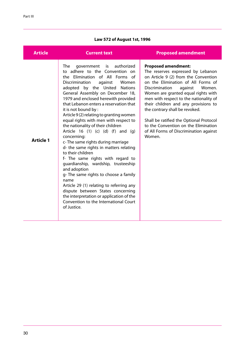## **Law 572 of August 1st, 1996**

| <b>Article</b>   | <b>Current text</b>                                                                                                                                                                                                                                                                                                                                                                                                                                                                                                                                                                                                                                                                                                                                                                                                                                                                                                                                                  | <b>Proposed amendment</b>                                                                                                                                                                                                                                                                                                                                                                                                                                                              |
|------------------|----------------------------------------------------------------------------------------------------------------------------------------------------------------------------------------------------------------------------------------------------------------------------------------------------------------------------------------------------------------------------------------------------------------------------------------------------------------------------------------------------------------------------------------------------------------------------------------------------------------------------------------------------------------------------------------------------------------------------------------------------------------------------------------------------------------------------------------------------------------------------------------------------------------------------------------------------------------------|----------------------------------------------------------------------------------------------------------------------------------------------------------------------------------------------------------------------------------------------------------------------------------------------------------------------------------------------------------------------------------------------------------------------------------------------------------------------------------------|
| <b>Article 1</b> | authorized<br>The<br>government<br>is<br>to adhere to the Convention on<br>the Elimination of All Forms of<br>Discrimination<br>against<br>Women<br>adopted by the United<br><b>Nations</b><br>General Assembly on December 18,<br>1979 and enclosed herewith provided<br>that Lebanon enters a reservation that<br>it is not bound by:<br>Article 9(2) relating to granting women<br>equal rights with men with respect to<br>the nationality of their children<br>Article 16 $(1)$ $(c)$ $(d)$ $(f)$ and $(q)$<br>concerning:<br>c-The same rights during marriage<br>d- the same rights in matters relating<br>to their children<br>f- The same rights with regard to<br>guardianship, wardship, trusteeship<br>and adoption<br>g-The same rights to choose a family<br>name<br>Article 29 (1) relating to referring any<br>dispute between States concerning<br>the interpretation or application of the<br>Convention to the International Court<br>of Justice. | <b>Proposed amendment:</b><br>The reserves expressed by Lebanon<br>on Article 9 (2) from the Convention<br>on the Elimination of All Forms of<br>Discrimination<br>against<br>Women.<br>Women are granted equal rights with<br>men with respect to the nationality of<br>their children and any provisions to<br>the contrary shall be revoked.<br>Shall be ratified the Optional Protocol<br>to the Convention on the Elimination<br>of All Forms of Discrimination against<br>Women. |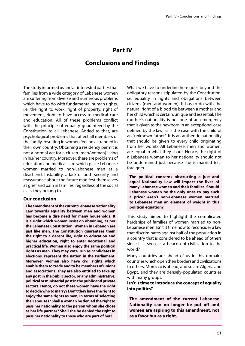## **Part IV**

## **Conclusions and Findings**

The study informed us and all interested parties that families from a wide category of Lebanese women are suffering from diverse and numerous problems which have to do with fundamental human rights, i.e. the right to work, right of property, right of movement, right to have access to medical care and education. All of these problems conflict with the principle of equality guaranteed by the Constitution to all Lebanese. Added to that, are psychological problems that affect all members of the family, resulting in women feeling estranged in their own country. Obtaining a residency permit is not a normal act for a citizen (man/woman) living in his/her country. Moreover, there are problems of education and medical care which place Lebanese women married to non-Lebanese men at a dead end. Instability, a lack of both security and reassurance about the future manifest themselves as grief and pain in families, regardless of the social class they belong to.

#### **Our conclusion**

**The amendment of the current Lebanese Nationality Law towards equality between men and women has become a dire need for many households. It is a right which women insist on obtaining, as per the Lebanese Constitution. Women in Lebanon are just like men. The Constitution guarantees them the right to a decent life, right to education and higher education, right to enter vocational and practical life. Women also enjoy the same political rights as men. They may vote, run as candidates in elections, represent the nation in the Parliament. Moreover, women also have civil rights which enable them to trade and to be members of unions and associations. They are also entitled to take up any post in the public sector, or any administrative, political or ministerial post in the public and private sectors. Hence, do not these women have the right to decide who to marry? Don't they have the right to enjoy the same rights as men, in terms of selecting their spouses? Shall a woman be denied the right to pass her nationality to the person whom she chose as her life partner? Shall she be denied the right to pass her nationality to those who are part of her?**

What we have to underline here goes beyond the obligatory reasons stipulated by the Constitution, i.e. equality in rights and obligations between citizens (men and women). It has to do with the natural right of a blood tie between a mother and her child which is certain, unique and essential. The mother's nationality is not one of an emergency that is given to the newborn in an exceptional case defined by the law, as is the case with the child of an "unknown father". It is an authentic nationality that should be given to every child originating from her womb. All Lebanese, men and women, are equal in what they share. Hence, the right of a Lebanese woman to her nationality should not be undermined just because she is married to a foreigner.

**The political concerns obstructing a just and equal Nationality Law will impact the lives of many Lebanese women and their families. Should Lebanese women be the only ones to pay such a price? Aren't non-Lebanese women married to Lebanese men an element of weight in this political equation?**

This study aimed to highlight the complicated hardships of families of women married to non-Lebanese men. Isn't it time now to reconsider a law that discriminates against half of the population in a country that is considered to be ahead of others since it is seen as a beacon of civilization to the world?

Many countries are ahead of us in this domain; countries which open their borders and civilizations to others. Morocco is ahead, and so are Algeria and Egypt, and they are densely-populated countries with many groups.

**Isn't it time to introduce the concept of equality into politics?**

**The amendment of the current Lebanese Nationality can no longer be put off and women are aspiring to this amendment, not as a favor but as a right.**